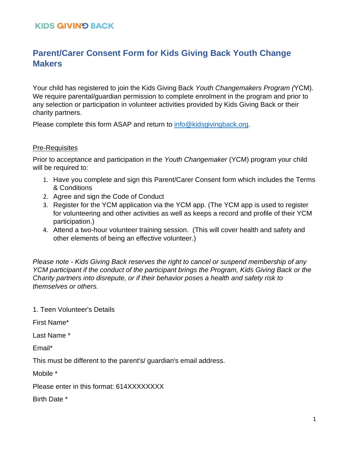#### **KIDS GIVIN'S BACK**

# **Parent/Carer Consent Form for Kids Giving Back Youth Change Makers**

Your child has registered to join the Kids Giving Back *Youth Changemakers Program (*YCM). We require parental/guardian permission to complete enrolment in the program and prior to any selection or participation in volunteer activities provided by Kids Giving Back or their charity partners.

Please complete this form ASAP and return to [info@kidsgivingback.org.](mailto:info@kidsgivingback.org)

#### Pre-Requisites

Prior to acceptance and participation in the *Youth Changemaker* (YCM) program your child will be required to:

- 1. Have you complete and sign this Parent/Carer Consent form which includes the Terms & Conditions
- 2. Agree and sign the Code of Conduct
- 3. Register for the YCM application via the YCM app. (The YCM app is used to register for volunteering and other activities as well as keeps a record and profile of their YCM participation.)
- 4. Attend a two-hour volunteer training session. (This will cover health and safety and other elements of being an effective volunteer.)

*Please note - Kids Giving Back reserves the right to cancel or suspend membership of any YCM participant if the conduct of the participant brings the Program, Kids Giving Back or the Charity partners into disrepute, or if their behavior poses a health and safety risk to themselves or others.* 

1. Teen Volunteer's Details

First Name\*

Last Name \*

Email\*

This must be different to the parent's/ guardian's email address.

Mobile \*

Please enter in this format: 614XXXXXXXX

Birth Date \*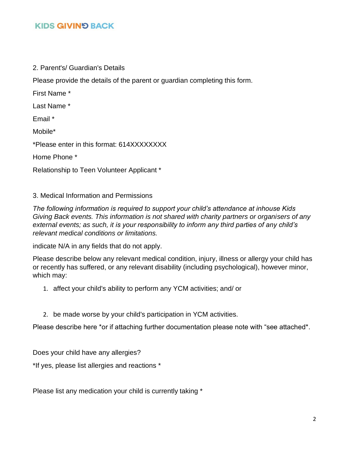## **KIDS GIVIN'S BACK**

2. Parent's/ Guardian's Details

Please provide the details of the parent or guardian completing this form.

First Name \*

Last Name \*

Email \*

Mobile\*

\*Please enter in this format: 614XXXXXXXX

Home Phone \*

Relationship to Teen Volunteer Applicant \*

3. Medical Information and Permissions

*The following information is required to support your child's attendance at inhouse Kids Giving Back events. This information is not shared with charity partners or organisers of any external events; as such, it is your responsibility to inform any third parties of any child's relevant medical conditions or limitations.*

indicate N/A in any fields that do not apply.

Please describe below any relevant medical condition, injury, illness or allergy your child has or recently has suffered, or any relevant disability (including psychological), however minor, which may:

- 1. affect your child's ability to perform any YCM activities; and/ or
- 2. be made worse by your child's participation in YCM activities.

Please describe here \*or if attaching further documentation please note with "see attached\*.

Does your child have any allergies?

\*If yes, please list allergies and reactions \*

Please list any medication your child is currently taking \*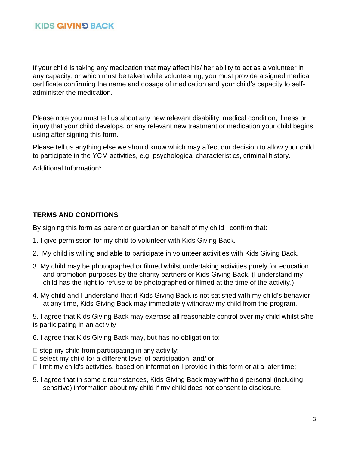If your child is taking any medication that may affect his/ her ability to act as a volunteer in any capacity, or which must be taken while volunteering, you must provide a signed medical certificate confirming the name and dosage of medication and your child's capacity to selfadminister the medication.

Please note you must tell us about any new relevant disability, medical condition, illness or injury that your child develops, or any relevant new treatment or medication your child begins using after signing this form.

Please tell us anything else we should know which may affect our decision to allow your child to participate in the YCM activities, e.g. psychological characteristics, criminal history.

Additional Information\*

#### **TERMS AND CONDITIONS**

By signing this form as parent or guardian on behalf of my child I confirm that:

- 1. I give permission for my child to volunteer with Kids Giving Back.
- 2. My child is willing and able to participate in volunteer activities with Kids Giving Back.
- 3. My child may be photographed or filmed whilst undertaking activities purely for education and promotion purposes by the charity partners or Kids Giving Back. (I understand my child has the right to refuse to be photographed or filmed at the time of the activity.)
- 4. My child and I understand that if Kids Giving Back is not satisfied with my child's behavior at any time, Kids Giving Back may immediately withdraw my child from the program.

5. I agree that Kids Giving Back may exercise all reasonable control over my child whilst s/he is participating in an activity

- 6. I agree that Kids Giving Back may, but has no obligation to:
- $\Box$  stop my child from participating in any activity;
- $\Box$  select my child for a different level of participation; and/ or
- $\Box$  limit my child's activities, based on information I provide in this form or at a later time;
- 9. I agree that in some circumstances, Kids Giving Back may withhold personal (including sensitive) information about my child if my child does not consent to disclosure.